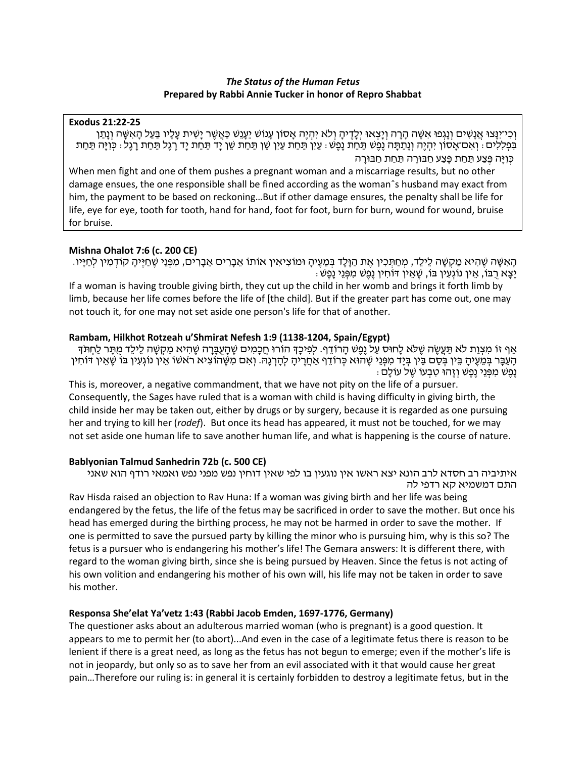### *The Status of the Human Fetus* **Prepared by Rabbi Annie Tucker in honor of Repro Shabbat**

#### **Exodus 21:22-25**

וְרָי־יָנַּצוּ אֲנַשִׁים וְנַגְפוּ אִשָּׁה הַרָה וְיַצְאוּ יְלֵדֶיהַ וְלֹא יְהָיֶה אֲסוֹן עָנוֹשׁ יֵעֲנֵשׁ כַּאֲשֶׁר יַשִׁית עַלָיו בַּעַל הַאִשָּׁה וְנַתַן בִּפְלִלִים: וְאִם־אָסוֹן יִהְיֶה וְנָתַתָּה נֶפֶשׁ תַּחַת נָפֶשׁ: עַיִן תַּחַת עַיִן שֵׁן תַּחַת שֵׁן יָד תַּחַת יָד רֶגֶל תַּחַת רָגֶל: כְּוִיָּה תַּחַת כִּוְיַּה פֶּצַע תַּחַת פַּצַע חַבּוּרַה תַּחַת חַבּוּרַה

When men fight and one of them pushes a pregnant woman and a miscarriage results, but no other damage ensues, the one responsible shall be fined according as the womanˆs husband may exact from him, the payment to be based on reckoning…But if other damage ensures, the penalty shall be life for life, eye for eye, tooth for tooth, hand for hand, foot for foot, burn for burn, wound for wound, bruise for bruise.

### **Mishna Ohalot 7:6 (c. 200 CE)**

ְּהָאִשָּׁה שֵׁהִיא מַקִשַּׁה לֵילֵד, מְחַתְּכִין אֶת הַוָּלָד בְּמֶעֶיהָ וּמוֹצִיאִין אוֹתוֹ אֵבָרִים אֱבָרִים, מִפְּנֵי שֶׁחַיֵּיהָ קוֹדְמִין לְחַיָּיו. : יַצָא רָבּוֹ, אֵין נוֹגְעִין בּוֹ, שֶׁאֵין דּוֹחִין נֵפֶשׁ מִפְּנֵי נָפֵשׁ

If a woman is having trouble giving birth, they cut up the child in her womb and brings it forth limb by limb, because her life comes before the life of [the child]. But if the greater part has come out, one may not touch it, for one may not set aside one person's life for that of another.

## **Rambam, Hilkhot Rotzeah u'Shmirat Nefesh 1:9 (1138-1204, Spain/Egypt)**

אַף זוֹ מִצְוַת לֹא תַּעֲשֶׂה שֶׁלֹּא לַחוּס עַל נֶפֶשׁ הַרוֹדֵף. לְפִיכַדְּ הוֹרוּ חֲכָמִים שֶׁהַעֲבָרָה שֶׁהִיא מַקְשָּׁה לֶילֶד מִתַּר לַחִתּדְּ הָעֵבָּר בְּמֵעֶיהָ בֵּין בְּסַם בֵּין בְּיָד מִפְּנֵי שֶׁהוּא כְּרוֹדֵף אַחֲרֶיהָ לְהָרְנָהּ. וְאִם מִשֶּׁהוֹצִיא ראשוֹ אֵין נוֹגְעִין בּוֹ שֶׁאֵין דּוֹחִין ּ נֶפֶשׁ מִפְּנֵי נֶפֶשׁ וְזֶהוּ טָבָעוֹ שֶׁל עוֹלָם :

This is, moreover, a negative commandment, that we have not pity on the life of a pursuer. Consequently, the Sages have ruled that is a woman with child is having difficulty in giving birth, the child inside her may be taken out, either by drugs or by surgery, because it is regarded as one pursuing her and trying to kill her (*rodef*). But once its head has appeared, it must not be touched, for we may not set aside one human life to save another human life, and what is happening is the course of nature.

### **Bablyonian Talmud Sanhedrin 72b (c. 500 CE)**

איתיביה רב חסדא לרב הונא יצא ראשו אין נוגעין בו לפי שאין דוחין נפש מפני נפש ואמאי רודף הוא שאני התם דמשמיא קא רדפי לה

Rav Hisda raised an objection to Rav Huna: If a woman was giving birth and her life was being endangered by the fetus, the life of the fetus may be sacrificed in order to save the mother. But once his head has emerged during the birthing process, he may not be harmed in order to save the mother. If one is permitted to save the pursued party by killing the minor who is pursuing him, why is this so? The fetus is a pursuer who is endangering his mother's life! The Gemara answers: It is different there, with regard to the woman giving birth, since she is being pursued by Heaven. Since the fetus is not acting of his own volition and endangering his mother of his own will, his life may not be taken in order to save his mother.

## **Responsa She'elat Ya'vetz 1:43 (Rabbi Jacob Emden, 1697-1776, Germany)**

The questioner asks about an adulterous married woman (who is pregnant) is a good question. It appears to me to permit her (to abort)...And even in the case of a legitimate fetus there is reason to be lenient if there is a great need, as long as the fetus has not begun to emerge; even if the mother's life is not in jeopardy, but only so as to save her from an evil associated with it that would cause her great pain…Therefore our ruling is: in general it is certainly forbidden to destroy a legitimate fetus, but in the